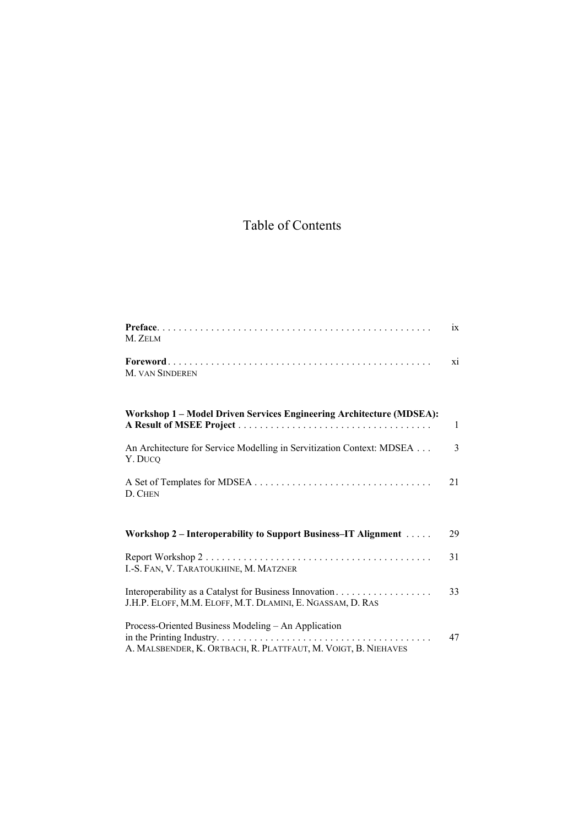## Table of Contents

| M. ZELM                                                                                                               | 1X           |
|-----------------------------------------------------------------------------------------------------------------------|--------------|
| M. VAN SINDEREN                                                                                                       | X1           |
| Workshop 1 - Model Driven Services Engineering Architecture (MDSEA):                                                  | $\mathbf{1}$ |
| An Architecture for Service Modelling in Servitization Context: MDSEA<br>Y. DUCQ                                      | 3            |
| D. CHEN                                                                                                               | 21           |
| Workshop 2 – Interoperability to Support Business–IT Alignment                                                        | 29           |
| I.-S. FAN, V. TARATOUKHINE, M. MATZNER                                                                                | 31           |
| Interoperability as a Catalyst for Business Innovation<br>J.H.P. ELOFF, M.M. ELOFF, M.T. DLAMINI, E. NGASSAM, D. RAS  | 33           |
| Process-Oriented Business Modeling - An Application<br>A. MALSBENDER, K. ORTBACH, R. PLATTFAUT, M. VOIGT, B. NIEHAVES | 47           |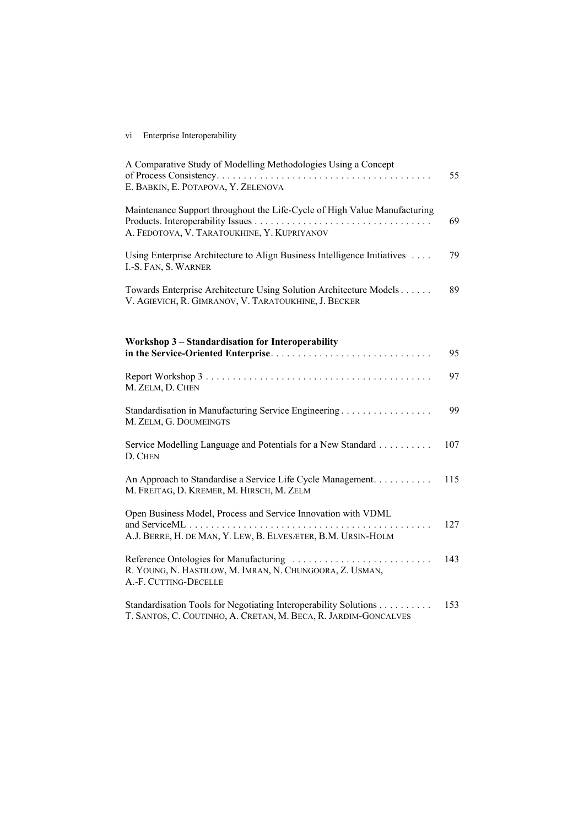## vi Enterprise Interoperability

| A Comparative Study of Modelling Methodologies Using a Concept<br>E. BABKIN, E. POTAPOVA, Y. ZELENOVA                               | 55  |
|-------------------------------------------------------------------------------------------------------------------------------------|-----|
| Maintenance Support throughout the Life-Cycle of High Value Manufacturing<br>A. FEDOTOVA, V. TARATOUKHINE, Y. KUPRIYANOV            | 69  |
| Using Enterprise Architecture to Align Business Intelligence Initiatives<br>I.-S. FAN, S. WARNER                                    | 79  |
| Towards Enterprise Architecture Using Solution Architecture Models<br>V. AGIEVICH, R. GIMRANOV, V. TARATOUKHINE, J. BECKER          | 89  |
| Workshop 3 – Standardisation for Interoperability                                                                                   |     |
|                                                                                                                                     | 95  |
| M. ZELM, D. CHEN                                                                                                                    | 97  |
| Standardisation in Manufacturing Service Engineering<br>M. ZELM, G. DOUMEINGTS                                                      | 99  |
| Service Modelling Language and Potentials for a New Standard<br>D. CHEN                                                             | 107 |
| An Approach to Standardise a Service Life Cycle Management.<br>M. FREITAG, D. KREMER, M. HIRSCH, M. ZELM                            | 115 |
| Open Business Model, Process and Service Innovation with VDML<br>.<br>A.J. BERRE, H. DE MAN, Y. LEW, B. ELVESÆTER, B.M. URSIN-HOLM  | 127 |
| R. YOUNG, N. HASTILOW, M. IMRAN, N. CHUNGOORA, Z. USMAN,<br>A.-F. CUTTING-DECELLE                                                   | 143 |
| Standardisation Tools for Negotiating Interoperability Solutions<br>T. SANTOS, C. COUTINHO, A. CRETAN, M. BECA, R. JARDIM-GONCALVES | 153 |